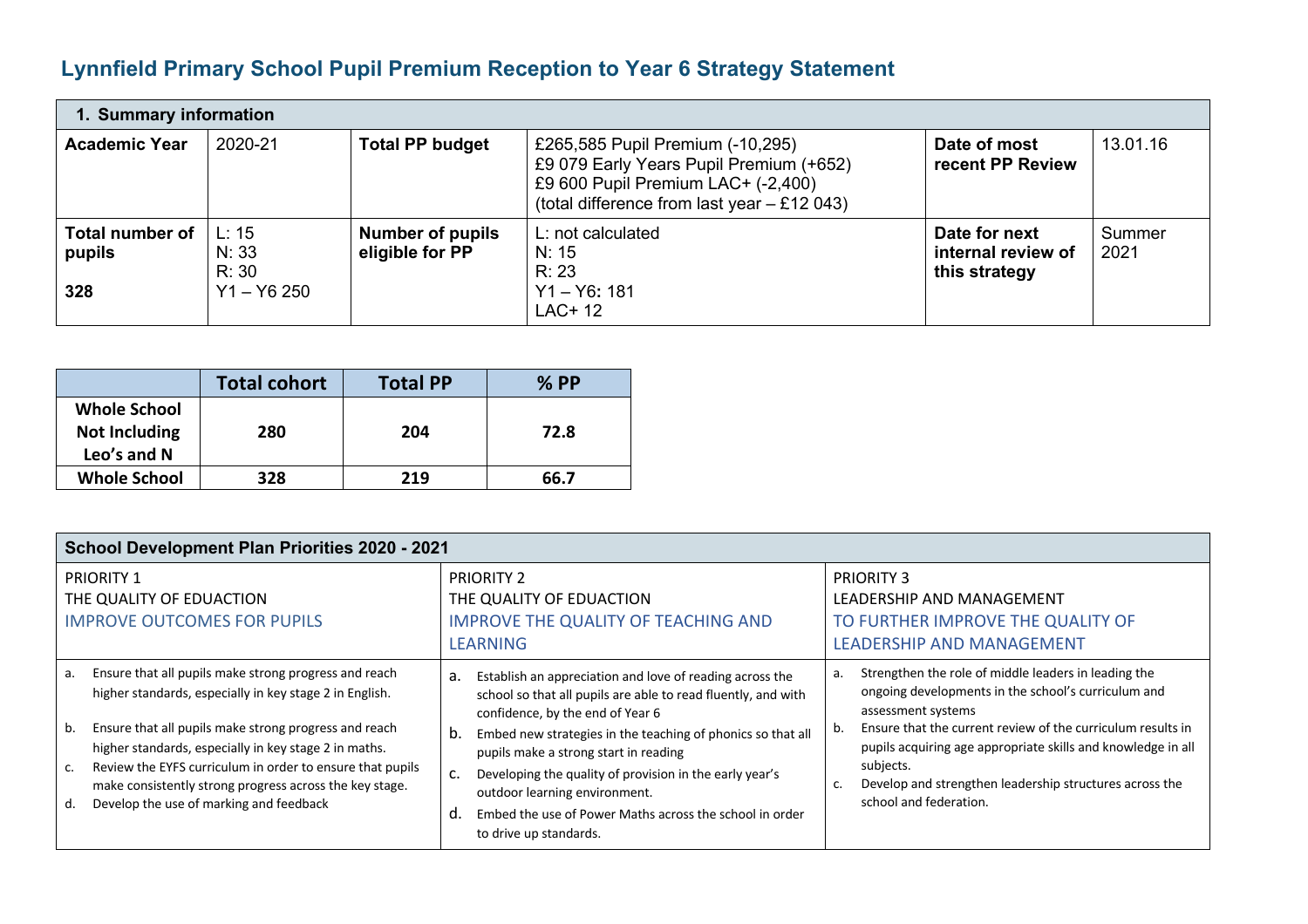## **Lynnfield Primary School Pupil Premium Reception to Year 6 Strategy Statement**

| 1. Summary information                  |                                          |                                            |                                                                                                                                                                    |                                                      |                |  |  |  |
|-----------------------------------------|------------------------------------------|--------------------------------------------|--------------------------------------------------------------------------------------------------------------------------------------------------------------------|------------------------------------------------------|----------------|--|--|--|
| <b>Academic Year</b>                    | 2020-21                                  | <b>Total PP budget</b>                     | £265,585 Pupil Premium (-10,295)<br>£9 079 Early Years Pupil Premium (+652)<br>£9 600 Pupil Premium LAC+ (-2,400)<br>(total difference from last year $-$ £12 043) | Date of most<br>recent PP Review                     | 13.01.16       |  |  |  |
| <b>Total number of</b><br>pupils<br>328 | L: 15<br>N: 33<br>R: 30<br>$Y1 - Y6 250$ | <b>Number of pupils</b><br>eligible for PP | L: not calculated<br>N: 15<br>R: 23<br>$Y1 - Y6: 181$<br>LAC+ 12                                                                                                   | Date for next<br>internal review of<br>this strategy | Summer<br>2021 |  |  |  |

|                                     | <b>Total cohort</b> | <b>Total PP</b> | $%$ PP |
|-------------------------------------|---------------------|-----------------|--------|
| <b>Whole School</b>                 |                     |                 |        |
| <b>Not Including</b><br>Leo's and N | 280                 | 204             | 72.8   |
| <b>Whole School</b>                 | 328                 | 219             | 66.7   |

| <b>School Development Plan Priorities 2020 - 2021</b>                                                                                                                                                                                                                                                                                                                                                                   |                                                                                                                                                                                                                                                                                                                                                                                                                                                                                |                                                                                                                                                                                                                                                                                                                                                                                      |  |  |  |  |  |
|-------------------------------------------------------------------------------------------------------------------------------------------------------------------------------------------------------------------------------------------------------------------------------------------------------------------------------------------------------------------------------------------------------------------------|--------------------------------------------------------------------------------------------------------------------------------------------------------------------------------------------------------------------------------------------------------------------------------------------------------------------------------------------------------------------------------------------------------------------------------------------------------------------------------|--------------------------------------------------------------------------------------------------------------------------------------------------------------------------------------------------------------------------------------------------------------------------------------------------------------------------------------------------------------------------------------|--|--|--|--|--|
| <b>PRIORITY 1</b><br>THE QUALITY OF EDUACTION<br><b>IMPROVE OUTCOMES FOR PUPILS</b>                                                                                                                                                                                                                                                                                                                                     | <b>PRIORITY 2</b><br>THE QUALITY OF EDUACTION<br><b>IMPROVE THE QUALITY OF TEACHING AND</b><br><b>LEARNING</b>                                                                                                                                                                                                                                                                                                                                                                 | <b>PRIORITY 3</b><br>LEADERSHIP AND MANAGEMENT<br>TO FURTHER IMPROVE THE QUALITY OF<br><b>LEADERSHIP AND MANAGEMENT</b>                                                                                                                                                                                                                                                              |  |  |  |  |  |
| Ensure that all pupils make strong progress and reach<br>a.<br>higher standards, especially in key stage 2 in English.<br>Ensure that all pupils make strong progress and reach<br>b.<br>higher standards, especially in key stage 2 in maths.<br>Review the EYFS curriculum in order to ensure that pupils<br>make consistently strong progress across the key stage.<br>Develop the use of marking and feedback<br>d. | Establish an appreciation and love of reading across the<br>а.<br>school so that all pupils are able to read fluently, and with<br>confidence, by the end of Year 6<br>Embed new strategies in the teaching of phonics so that all<br>b.<br>pupils make a strong start in reading<br>Developing the quality of provision in the early year's<br>c.<br>outdoor learning environment.<br>d.<br>Embed the use of Power Maths across the school in order<br>to drive up standards. | Strengthen the role of middle leaders in leading the<br>a.<br>ongoing developments in the school's curriculum and<br>assessment systems<br>Ensure that the current review of the curriculum results in<br>b.<br>pupils acquiring age appropriate skills and knowledge in all<br>subjects.<br>Develop and strengthen leadership structures across the<br>c.<br>school and federation. |  |  |  |  |  |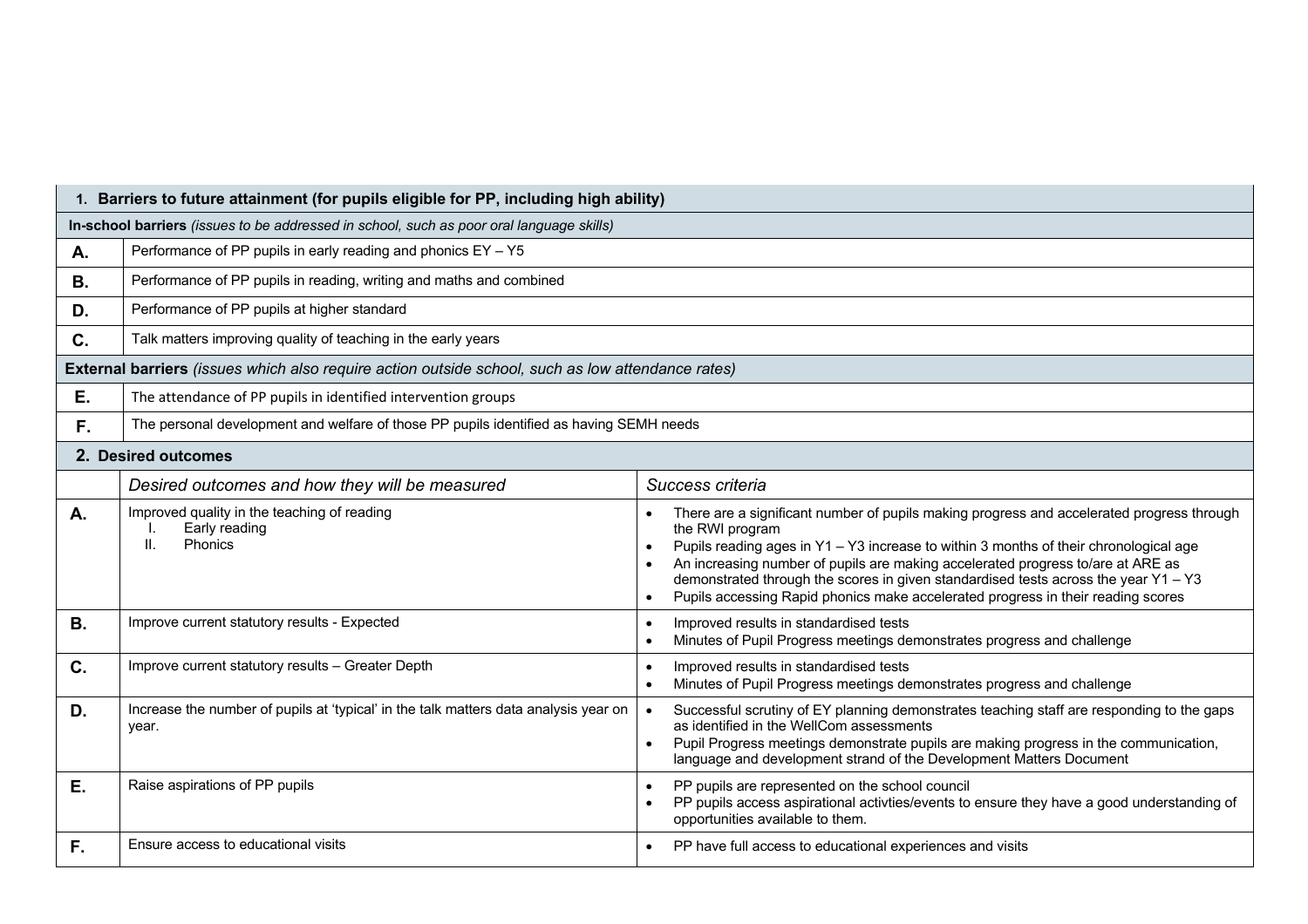|           | 1. Barriers to future attainment (for pupils eligible for PP, including high ability)                    |                                                                                                                                                                                                                                                                                                                                                                                                                                                                     |  |  |  |  |  |
|-----------|----------------------------------------------------------------------------------------------------------|---------------------------------------------------------------------------------------------------------------------------------------------------------------------------------------------------------------------------------------------------------------------------------------------------------------------------------------------------------------------------------------------------------------------------------------------------------------------|--|--|--|--|--|
|           | In-school barriers (issues to be addressed in school, such as poor oral language skills)                 |                                                                                                                                                                                                                                                                                                                                                                                                                                                                     |  |  |  |  |  |
| Α.        | Performance of PP pupils in early reading and phonics $EY - Y5$                                          |                                                                                                                                                                                                                                                                                                                                                                                                                                                                     |  |  |  |  |  |
| В.        | Performance of PP pupils in reading, writing and maths and combined                                      |                                                                                                                                                                                                                                                                                                                                                                                                                                                                     |  |  |  |  |  |
| D.        | Performance of PP pupils at higher standard                                                              |                                                                                                                                                                                                                                                                                                                                                                                                                                                                     |  |  |  |  |  |
| C.        | Talk matters improving quality of teaching in the early years                                            |                                                                                                                                                                                                                                                                                                                                                                                                                                                                     |  |  |  |  |  |
|           | <b>External barriers</b> (issues which also require action outside school, such as low attendance rates) |                                                                                                                                                                                                                                                                                                                                                                                                                                                                     |  |  |  |  |  |
| Ε.        | The attendance of PP pupils in identified intervention groups                                            |                                                                                                                                                                                                                                                                                                                                                                                                                                                                     |  |  |  |  |  |
| F.        | The personal development and welfare of those PP pupils identified as having SEMH needs                  |                                                                                                                                                                                                                                                                                                                                                                                                                                                                     |  |  |  |  |  |
|           | 2. Desired outcomes                                                                                      |                                                                                                                                                                                                                                                                                                                                                                                                                                                                     |  |  |  |  |  |
|           | Desired outcomes and how they will be measured                                                           | Success criteria                                                                                                                                                                                                                                                                                                                                                                                                                                                    |  |  |  |  |  |
| Α.        | Improved quality in the teaching of reading<br>Early reading<br>Phonics<br>ΙΙ.                           | There are a significant number of pupils making progress and accelerated progress through<br>the RWI program<br>Pupils reading ages in Y1 - Y3 increase to within 3 months of their chronological age<br>An increasing number of pupils are making accelerated progress to/are at ARE as<br>demonstrated through the scores in given standardised tests across the year Y1 - Y3<br>Pupils accessing Rapid phonics make accelerated progress in their reading scores |  |  |  |  |  |
| <b>B.</b> | Improve current statutory results - Expected                                                             | Improved results in standardised tests<br>Minutes of Pupil Progress meetings demonstrates progress and challenge                                                                                                                                                                                                                                                                                                                                                    |  |  |  |  |  |
| C.        | Improve current statutory results - Greater Depth                                                        | Improved results in standardised tests<br>Minutes of Pupil Progress meetings demonstrates progress and challenge                                                                                                                                                                                                                                                                                                                                                    |  |  |  |  |  |
| D.        | Increase the number of pupils at 'typical' in the talk matters data analysis year on<br>year.            | Successful scrutiny of EY planning demonstrates teaching staff are responding to the gaps<br>as identified in the WellCom assessments<br>Pupil Progress meetings demonstrate pupils are making progress in the communication,<br>language and development strand of the Development Matters Document                                                                                                                                                                |  |  |  |  |  |
| Ε.        | Raise aspirations of PP pupils                                                                           | PP pupils are represented on the school council<br>PP pupils access aspirational activties/events to ensure they have a good understanding of<br>opportunities available to them.                                                                                                                                                                                                                                                                                   |  |  |  |  |  |
| F.        | Ensure access to educational visits                                                                      | PP have full access to educational experiences and visits                                                                                                                                                                                                                                                                                                                                                                                                           |  |  |  |  |  |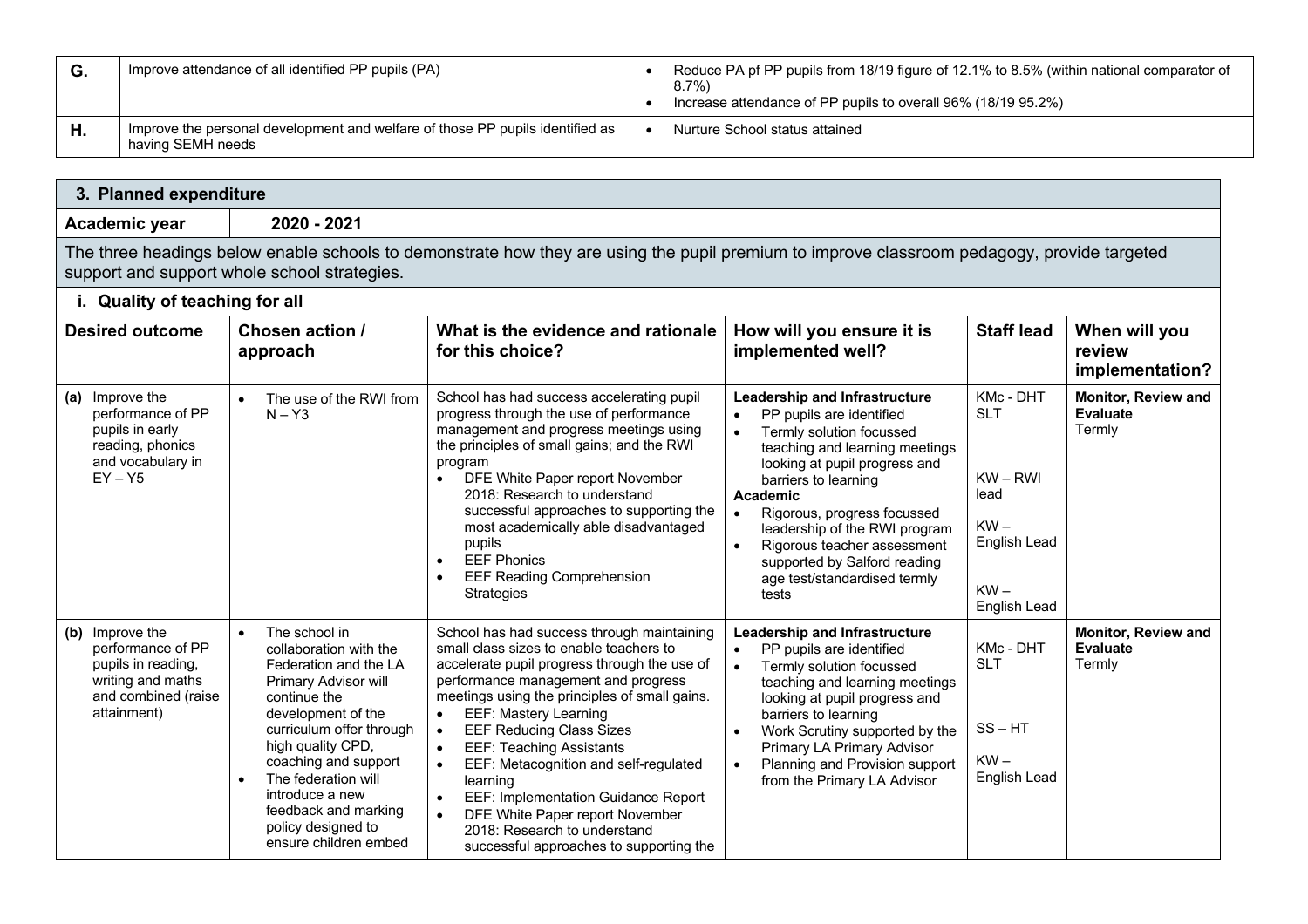| G. | Improve attendance of all identified PP pupils (PA)                                                | Reduce PA pf PP pupils from 18/19 figure of 12.1% to 8.5% (within national comparator of<br>$8.7\%$<br>Increase attendance of PP pupils to overall 96% (18/19 95.2%) |
|----|----------------------------------------------------------------------------------------------------|----------------------------------------------------------------------------------------------------------------------------------------------------------------------|
| H. | Improve the personal development and welfare of those PP pupils identified as<br>having SEMH needs | Nurture School status attained                                                                                                                                       |

 $\overline{\phantom{a}}$ 

| 3. Planned expenditure                                                                                                |                                                                                                                                                                                                                                                                                                                                       |                                                                                                                                                                                                                                                                                                                                                                                                                                                                                                                                                                                                                             |                                                                                                                                                                                                                                                                                                                                                                                                                          |                                                                                                   |                                                         |  |  |  |  |
|-----------------------------------------------------------------------------------------------------------------------|---------------------------------------------------------------------------------------------------------------------------------------------------------------------------------------------------------------------------------------------------------------------------------------------------------------------------------------|-----------------------------------------------------------------------------------------------------------------------------------------------------------------------------------------------------------------------------------------------------------------------------------------------------------------------------------------------------------------------------------------------------------------------------------------------------------------------------------------------------------------------------------------------------------------------------------------------------------------------------|--------------------------------------------------------------------------------------------------------------------------------------------------------------------------------------------------------------------------------------------------------------------------------------------------------------------------------------------------------------------------------------------------------------------------|---------------------------------------------------------------------------------------------------|---------------------------------------------------------|--|--|--|--|
| Academic year                                                                                                         | 2020 - 2021                                                                                                                                                                                                                                                                                                                           |                                                                                                                                                                                                                                                                                                                                                                                                                                                                                                                                                                                                                             |                                                                                                                                                                                                                                                                                                                                                                                                                          |                                                                                                   |                                                         |  |  |  |  |
|                                                                                                                       | The three headings below enable schools to demonstrate how they are using the pupil premium to improve classroom pedagogy, provide targeted<br>support and support whole school strategies.                                                                                                                                           |                                                                                                                                                                                                                                                                                                                                                                                                                                                                                                                                                                                                                             |                                                                                                                                                                                                                                                                                                                                                                                                                          |                                                                                                   |                                                         |  |  |  |  |
| i. Quality of teaching for all                                                                                        |                                                                                                                                                                                                                                                                                                                                       |                                                                                                                                                                                                                                                                                                                                                                                                                                                                                                                                                                                                                             |                                                                                                                                                                                                                                                                                                                                                                                                                          |                                                                                                   |                                                         |  |  |  |  |
| <b>Desired outcome</b>                                                                                                | Chosen action /<br>approach                                                                                                                                                                                                                                                                                                           | What is the evidence and rationale<br>for this choice?                                                                                                                                                                                                                                                                                                                                                                                                                                                                                                                                                                      | How will you ensure it is<br>implemented well?                                                                                                                                                                                                                                                                                                                                                                           | <b>Staff lead</b>                                                                                 | When will you<br>review<br>implementation?              |  |  |  |  |
| (a) Improve the<br>performance of PP<br>pupils in early<br>reading, phonics<br>and vocabulary in<br>$EY - Y5$         | The use of the RWI from<br>$N - Y3$                                                                                                                                                                                                                                                                                                   | School has had success accelerating pupil<br>progress through the use of performance<br>management and progress meetings using<br>the principles of small gains; and the RWI<br>program<br>DFE White Paper report November<br>$\bullet$<br>2018: Research to understand<br>successful approaches to supporting the<br>most academically able disadvantaged<br>pupils<br><b>EEF Phonics</b><br>$\bullet$<br><b>EEF Reading Comprehension</b><br>$\bullet$<br><b>Strategies</b>                                                                                                                                               | Leadership and Infrastructure<br>PP pupils are identified<br>$\bullet$<br>Termly solution focussed<br>$\bullet$<br>teaching and learning meetings<br>looking at pupil progress and<br>barriers to learning<br>Academic<br>Rigorous, progress focussed<br>$\bullet$<br>leadership of the RWI program<br>Rigorous teacher assessment<br>$\bullet$<br>supported by Salford reading<br>age test/standardised termly<br>tests | KMc - DHT<br><b>SLT</b><br>$KW - RWI$<br>lead<br>$KW -$<br>English Lead<br>$KW -$<br>English Lead | <b>Monitor, Review and</b><br><b>Evaluate</b><br>Termly |  |  |  |  |
| (b) Improve the<br>performance of PP<br>pupils in reading,<br>writing and maths<br>and combined (raise<br>attainment) | The school in<br>$\bullet$<br>collaboration with the<br>Federation and the LA<br>Primary Advisor will<br>continue the<br>development of the<br>curriculum offer through<br>high quality CPD,<br>coaching and support<br>The federation will<br>introduce a new<br>feedback and marking<br>policy designed to<br>ensure children embed | School has had success through maintaining<br>small class sizes to enable teachers to<br>accelerate pupil progress through the use of<br>performance management and progress<br>meetings using the principles of small gains.<br><b>EEF: Mastery Learning</b><br>$\bullet$<br><b>EEF Reducing Class Sizes</b><br>$\bullet$<br><b>EEF: Teaching Assistants</b><br>$\bullet$<br>EEF: Metacognition and self-regulated<br>$\bullet$<br>learning<br>EEF: Implementation Guidance Report<br>$\bullet$<br>DFE White Paper report November<br>$\bullet$<br>2018: Research to understand<br>successful approaches to supporting the | Leadership and Infrastructure<br>PP pupils are identified<br>$\bullet$<br>Termly solution focussed<br>teaching and learning meetings<br>looking at pupil progress and<br>barriers to learning<br>Work Scrutiny supported by the<br>$\bullet$<br>Primary LA Primary Advisor<br>Planning and Provision support<br>$\bullet$<br>from the Primary LA Advisor                                                                 | KMc - DHT<br><b>SLT</b><br>$SS - HT$<br>$KW -$<br>English Lead                                    | <b>Monitor, Review and</b><br><b>Evaluate</b><br>Termly |  |  |  |  |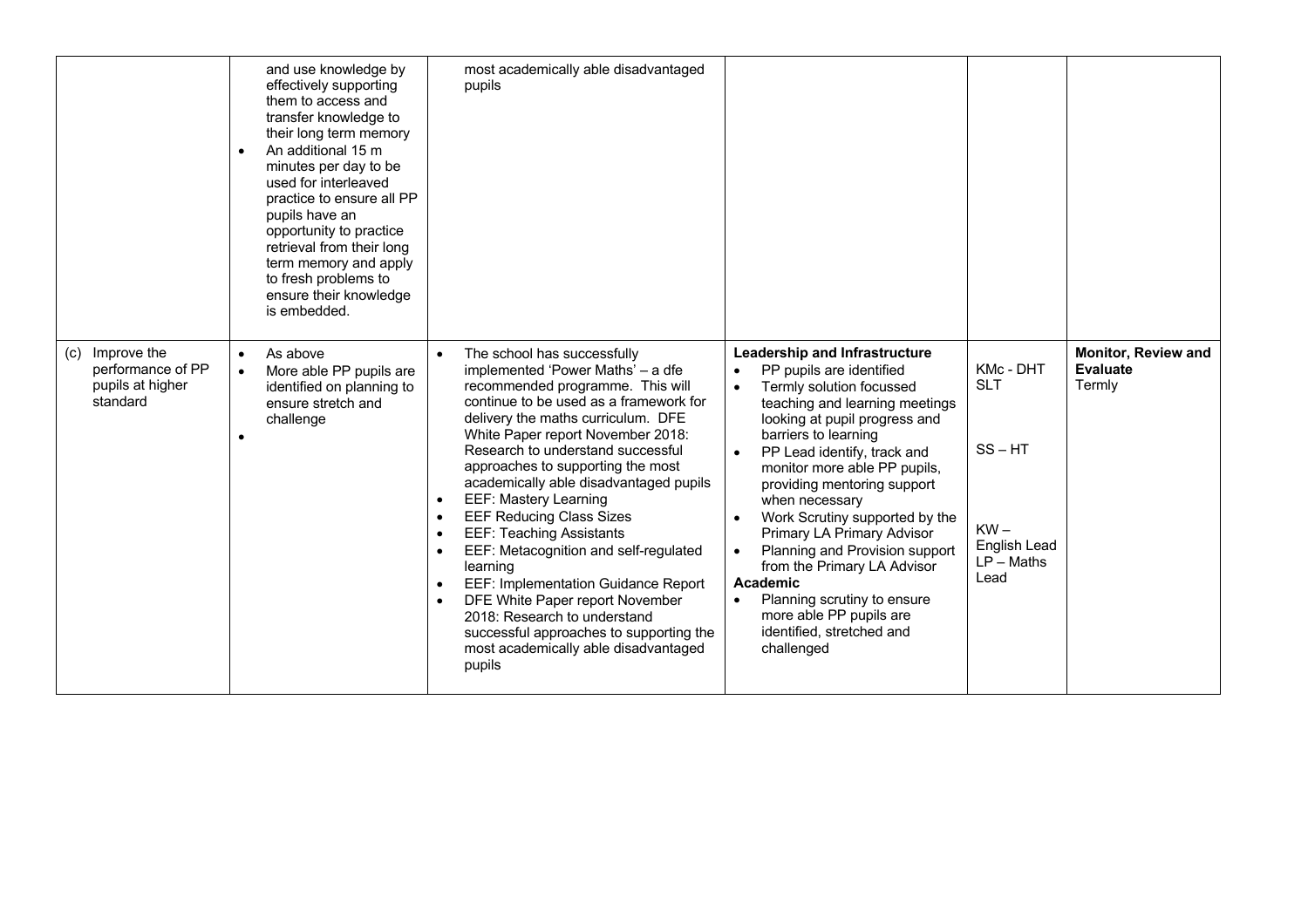|                                                                         | $\bullet$              | and use knowledge by<br>effectively supporting<br>them to access and<br>transfer knowledge to<br>their long term memory<br>An additional 15 m<br>minutes per day to be<br>used for interleaved<br>practice to ensure all PP<br>pupils have an<br>opportunity to practice<br>retrieval from their long<br>term memory and apply<br>to fresh problems to<br>ensure their knowledge<br>is embedded. |                                                  | most academically able disadvantaged<br>pupils                                                                                                                                                                                                                                                                                                                                                                                                                                                                                                                                                                                                                                                                  |                                                  |                                                                                                                                                                                                                                                                                                                                                                                                                                                                                                                                                           |                                                                                                 |                                                         |
|-------------------------------------------------------------------------|------------------------|--------------------------------------------------------------------------------------------------------------------------------------------------------------------------------------------------------------------------------------------------------------------------------------------------------------------------------------------------------------------------------------------------|--------------------------------------------------|-----------------------------------------------------------------------------------------------------------------------------------------------------------------------------------------------------------------------------------------------------------------------------------------------------------------------------------------------------------------------------------------------------------------------------------------------------------------------------------------------------------------------------------------------------------------------------------------------------------------------------------------------------------------------------------------------------------------|--------------------------------------------------|-----------------------------------------------------------------------------------------------------------------------------------------------------------------------------------------------------------------------------------------------------------------------------------------------------------------------------------------------------------------------------------------------------------------------------------------------------------------------------------------------------------------------------------------------------------|-------------------------------------------------------------------------------------------------|---------------------------------------------------------|
| Improve the<br>(c)<br>performance of PP<br>pupils at higher<br>standard | $\bullet$<br>$\bullet$ | As above<br>More able PP pupils are<br>identified on planning to<br>ensure stretch and<br>challenge                                                                                                                                                                                                                                                                                              | $\bullet$<br>$\bullet$<br>$\bullet$<br>$\bullet$ | The school has successfully<br>implemented 'Power Maths' - a dfe<br>recommended programme. This will<br>continue to be used as a framework for<br>delivery the maths curriculum. DFE<br>White Paper report November 2018:<br>Research to understand successful<br>approaches to supporting the most<br>academically able disadvantaged pupils<br><b>EEF: Mastery Learning</b><br><b>EEF Reducing Class Sizes</b><br><b>EEF: Teaching Assistants</b><br>EEF: Metacognition and self-regulated<br>learning<br>EEF: Implementation Guidance Report<br>DFE White Paper report November<br>2018: Research to understand<br>successful approaches to supporting the<br>most academically able disadvantaged<br>pupils | $\bullet$<br>$\bullet$<br>$\bullet$<br>$\bullet$ | <b>Leadership and Infrastructure</b><br>PP pupils are identified<br>Termly solution focussed<br>teaching and learning meetings<br>looking at pupil progress and<br>barriers to learning<br>PP Lead identify, track and<br>monitor more able PP pupils,<br>providing mentoring support<br>when necessary<br>Work Scrutiny supported by the<br>Primary LA Primary Advisor<br>Planning and Provision support<br>from the Primary LA Advisor<br>Academic<br>Planning scrutiny to ensure<br>more able PP pupils are<br>identified, stretched and<br>challenged | KMc - DHT<br><b>SLT</b><br>$SS - HT$<br>$KW -$<br>English Lead<br>$LP - \mathsf{Maths}$<br>Lead | <b>Monitor, Review and</b><br><b>Evaluate</b><br>Termly |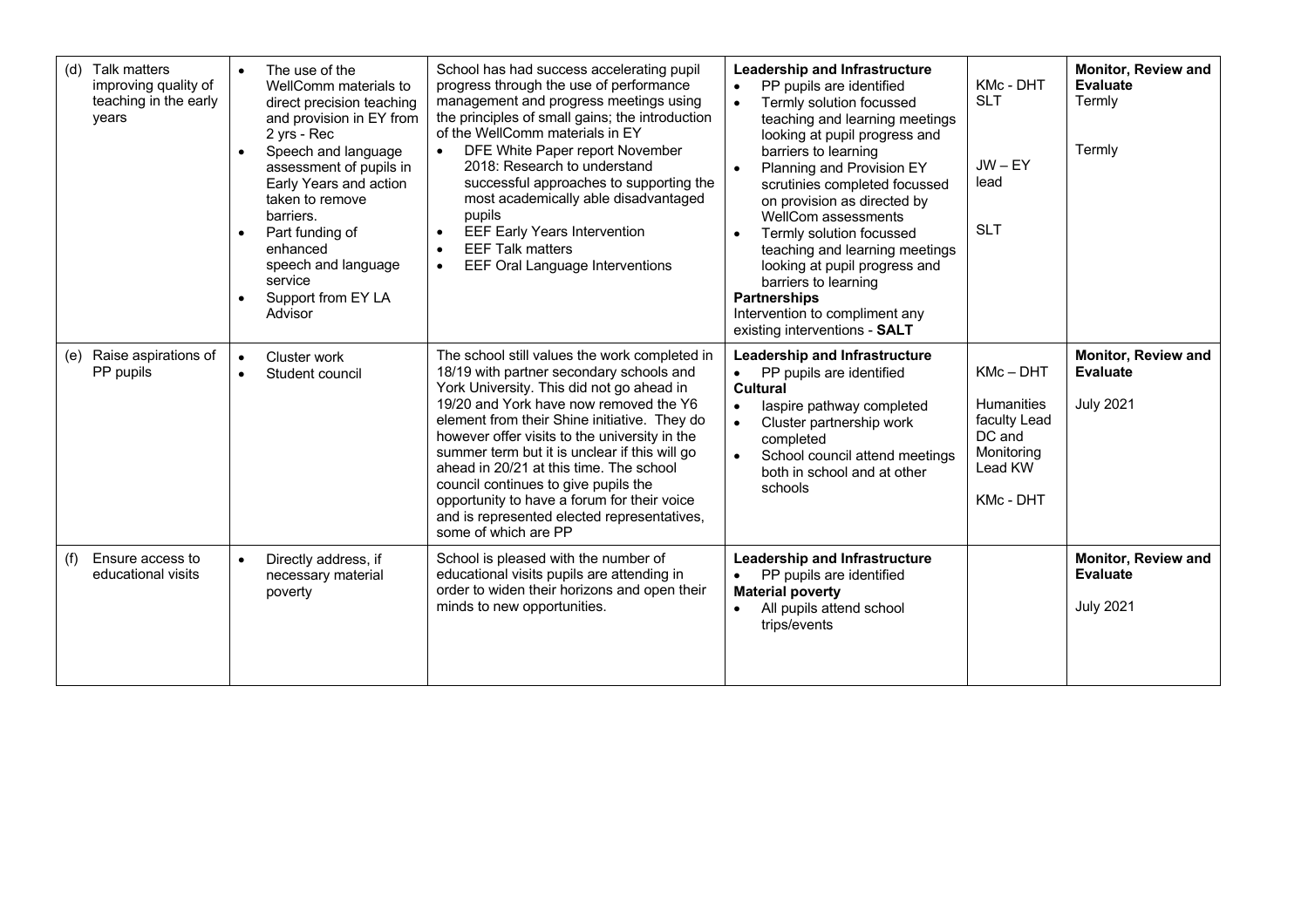| (d) | Talk matters<br>improving quality of<br>teaching in the early<br>years | $\bullet$<br>$\bullet$ | The use of the<br>WellComm materials to<br>direct precision teaching<br>and provision in EY from<br>2 yrs - Rec<br>Speech and language<br>assessment of pupils in<br>Early Years and action<br>taken to remove<br>barriers.<br>Part funding of<br>enhanced<br>speech and language<br>service<br>Support from EY LA<br>Advisor | School has had success accelerating pupil<br>progress through the use of performance<br>management and progress meetings using<br>the principles of small gains; the introduction<br>of the WellComm materials in EY<br>DFE White Paper report November<br>2018: Research to understand<br>successful approaches to supporting the<br>most academically able disadvantaged<br>pupils<br><b>EEF Early Years Intervention</b><br>$\bullet$<br><b>EEF Talk matters</b><br><b>EEF Oral Language Interventions</b><br>$\bullet$                  | Leadership and Infrastructure<br>Monitor, Review and<br>KMc - DHT<br><b>Evaluate</b><br>PP pupils are identified<br>$\bullet$<br><b>SLT</b><br>Termly<br>Termly solution focussed<br>$\bullet$<br>teaching and learning meetings<br>looking at pupil progress and<br>Termly<br>barriers to learning<br>$JW - EY$<br>Planning and Provision EY<br>$\bullet$<br>lead<br>scrutinies completed focussed<br>on provision as directed by<br>WellCom assessments<br><b>SLT</b><br>Termly solution focussed<br>$\bullet$<br>teaching and learning meetings<br>looking at pupil progress and<br>barriers to learning<br><b>Partnerships</b><br>Intervention to compliment any<br>existing interventions - SALT |
|-----|------------------------------------------------------------------------|------------------------|-------------------------------------------------------------------------------------------------------------------------------------------------------------------------------------------------------------------------------------------------------------------------------------------------------------------------------|---------------------------------------------------------------------------------------------------------------------------------------------------------------------------------------------------------------------------------------------------------------------------------------------------------------------------------------------------------------------------------------------------------------------------------------------------------------------------------------------------------------------------------------------|-------------------------------------------------------------------------------------------------------------------------------------------------------------------------------------------------------------------------------------------------------------------------------------------------------------------------------------------------------------------------------------------------------------------------------------------------------------------------------------------------------------------------------------------------------------------------------------------------------------------------------------------------------------------------------------------------------|
|     | (e) Raise aspirations of<br>PP pupils                                  | $\bullet$<br>$\bullet$ | Cluster work<br>Student council                                                                                                                                                                                                                                                                                               | The school still values the work completed in<br>18/19 with partner secondary schools and<br>York University. This did not go ahead in<br>19/20 and York have now removed the Y6<br>element from their Shine initiative. They do<br>however offer visits to the university in the<br>summer term but it is unclear if this will go<br>ahead in 20/21 at this time. The school<br>council continues to give pupils the<br>opportunity to have a forum for their voice<br>and is represented elected representatives,<br>some of which are PP | <b>Monitor, Review and</b><br>Leadership and Infrastructure<br>$KMc - DHT$<br><b>Evaluate</b><br>PP pupils are identified<br>$\bullet$<br><b>Cultural</b><br><b>Humanities</b><br><b>July 2021</b><br>laspire pathway completed<br>$\bullet$<br>faculty Lead<br>Cluster partnership work<br>$\bullet$<br>DC and<br>completed<br>Monitoring<br>$\bullet$<br>School council attend meetings<br>Lead KW<br>both in school and at other<br>schools<br><b>KMc - DHT</b>                                                                                                                                                                                                                                    |
| (f) | Ensure access to<br>educational visits                                 | $\bullet$              | Directly address, if<br>necessary material<br>poverty                                                                                                                                                                                                                                                                         | School is pleased with the number of<br>educational visits pupils are attending in<br>order to widen their horizons and open their<br>minds to new opportunities.                                                                                                                                                                                                                                                                                                                                                                           | Leadership and Infrastructure<br><b>Monitor, Review and</b><br>Evaluate<br>PP pupils are identified<br><b>Material poverty</b><br><b>July 2021</b><br>All pupils attend school<br>$\bullet$<br>trips/events                                                                                                                                                                                                                                                                                                                                                                                                                                                                                           |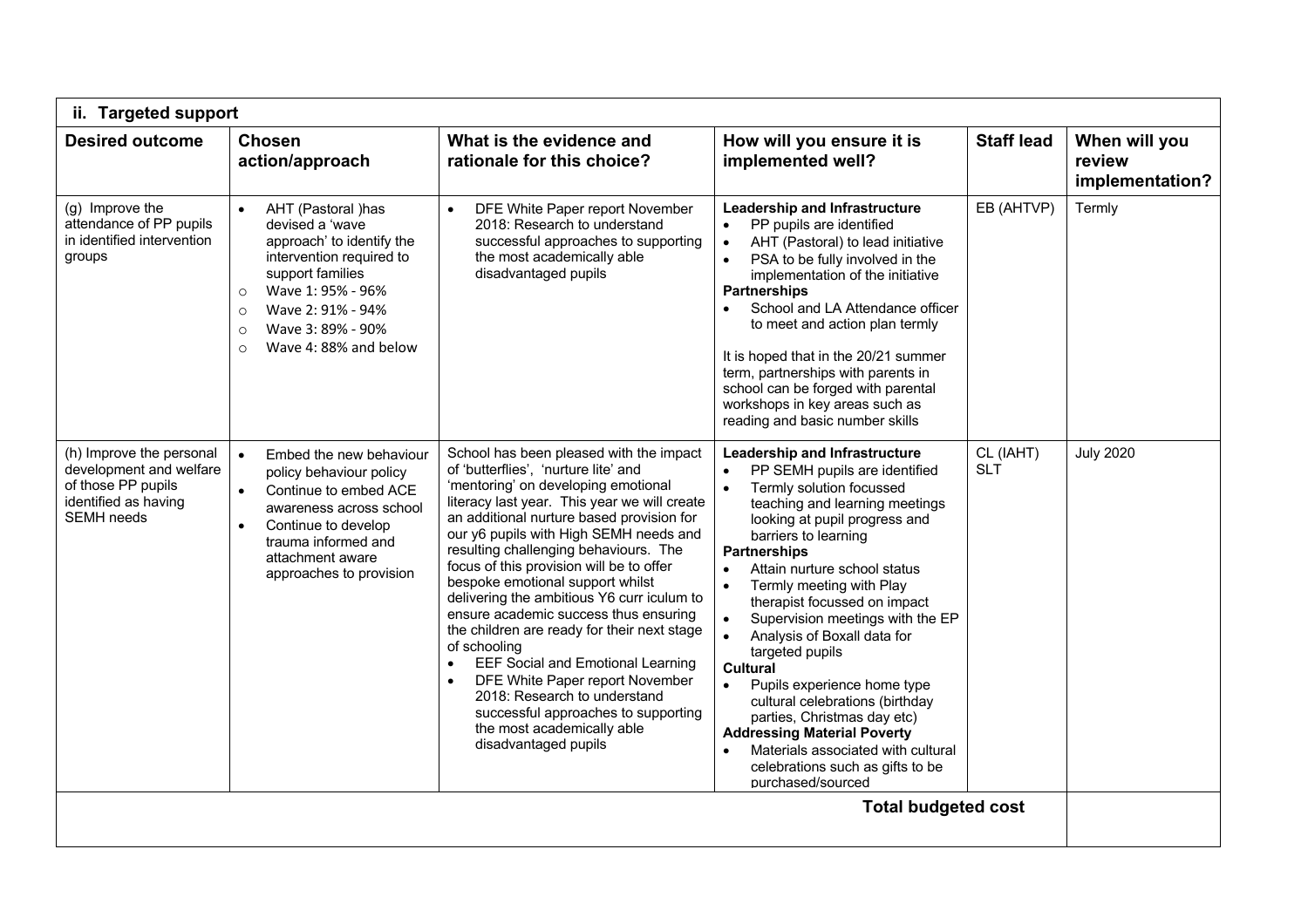| <b>Desired outcome</b>                                                                                                 | <b>Chosen</b>                                                                                                                                                                                                                                                       | What is the evidence and                                                                                                                                                                                                                                                                                                                                                                                                                                                                                                                                                                                                                                                                                                                                                           | How will you ensure it is                                                                                                                                                                                                                                                                                                                                                                                                                                                                                                                                                                                                                                                                                                                                 | <b>Staff lead</b>       | When will you             |
|------------------------------------------------------------------------------------------------------------------------|---------------------------------------------------------------------------------------------------------------------------------------------------------------------------------------------------------------------------------------------------------------------|------------------------------------------------------------------------------------------------------------------------------------------------------------------------------------------------------------------------------------------------------------------------------------------------------------------------------------------------------------------------------------------------------------------------------------------------------------------------------------------------------------------------------------------------------------------------------------------------------------------------------------------------------------------------------------------------------------------------------------------------------------------------------------|-----------------------------------------------------------------------------------------------------------------------------------------------------------------------------------------------------------------------------------------------------------------------------------------------------------------------------------------------------------------------------------------------------------------------------------------------------------------------------------------------------------------------------------------------------------------------------------------------------------------------------------------------------------------------------------------------------------------------------------------------------------|-------------------------|---------------------------|
|                                                                                                                        | action/approach                                                                                                                                                                                                                                                     | rationale for this choice?                                                                                                                                                                                                                                                                                                                                                                                                                                                                                                                                                                                                                                                                                                                                                         | implemented well?                                                                                                                                                                                                                                                                                                                                                                                                                                                                                                                                                                                                                                                                                                                                         |                         | review<br>implementation? |
| (g) Improve the<br>attendance of PP pupils<br>in identified intervention<br>groups                                     | AHT (Pastoral )has<br>$\bullet$<br>devised a 'wave<br>approach' to identify the<br>intervention required to<br>support families<br>Wave 1: 95% - 96%<br>$\circ$<br>Wave 2: 91% - 94%<br>$\circ$<br>Wave 3: 89% - 90%<br>$\circ$<br>Wave 4: 88% and below<br>$\circ$ | DFE White Paper report November<br>2018: Research to understand<br>successful approaches to supporting<br>the most academically able<br>disadvantaged pupils                                                                                                                                                                                                                                                                                                                                                                                                                                                                                                                                                                                                                       | Leadership and Infrastructure<br>PP pupils are identified<br>$\bullet$<br>$\bullet$<br>AHT (Pastoral) to lead initiative<br>PSA to be fully involved in the<br>$\bullet$<br>implementation of the initiative<br><b>Partnerships</b><br>School and LA Attendance officer<br>to meet and action plan termly<br>It is hoped that in the 20/21 summer<br>term, partnerships with parents in<br>school can be forged with parental<br>workshops in key areas such as<br>reading and basic number skills                                                                                                                                                                                                                                                        | EB (AHTVP)              | Termly                    |
| (h) Improve the personal<br>development and welfare<br>of those PP pupils<br>identified as having<br><b>SEMH</b> needs | Embed the new behaviour<br>$\bullet$<br>policy behaviour policy<br>Continue to embed ACE<br>$\bullet$<br>awareness across school<br>Continue to develop<br>trauma informed and<br>attachment aware<br>approaches to provision                                       | School has been pleased with the impact<br>of 'butterflies', 'nurture lite' and<br>'mentoring' on developing emotional<br>literacy last year. This year we will create<br>an additional nurture based provision for<br>our y6 pupils with High SEMH needs and<br>resulting challenging behaviours. The<br>focus of this provision will be to offer<br>bespoke emotional support whilst<br>delivering the ambitious Y6 curr iculum to<br>ensure academic success thus ensuring<br>the children are ready for their next stage<br>of schooling<br><b>EEF Social and Emotional Learning</b><br>$\bullet$<br>DFE White Paper report November<br>$\bullet$<br>2018: Research to understand<br>successful approaches to supporting<br>the most academically able<br>disadvantaged pupils | <b>Leadership and Infrastructure</b><br>PP SEMH pupils are identified<br>Termly solution focussed<br>$\bullet$<br>teaching and learning meetings<br>looking at pupil progress and<br>barriers to learning<br><b>Partnerships</b><br>Attain nurture school status<br>$\bullet$<br>$\bullet$<br>Termly meeting with Play<br>therapist focussed on impact<br>Supervision meetings with the EP<br>$\bullet$<br>$\bullet$<br>Analysis of Boxall data for<br>targeted pupils<br><b>Cultural</b><br>$\bullet$<br>Pupils experience home type<br>cultural celebrations (birthday<br>parties, Christmas day etc)<br><b>Addressing Material Poverty</b><br>Materials associated with cultural<br>$\bullet$<br>celebrations such as gifts to be<br>purchased/sourced | CL (IAHT)<br><b>SLT</b> | <b>July 2020</b>          |
|                                                                                                                        |                                                                                                                                                                                                                                                                     |                                                                                                                                                                                                                                                                                                                                                                                                                                                                                                                                                                                                                                                                                                                                                                                    | <b>Total budgeted cost</b>                                                                                                                                                                                                                                                                                                                                                                                                                                                                                                                                                                                                                                                                                                                                |                         |                           |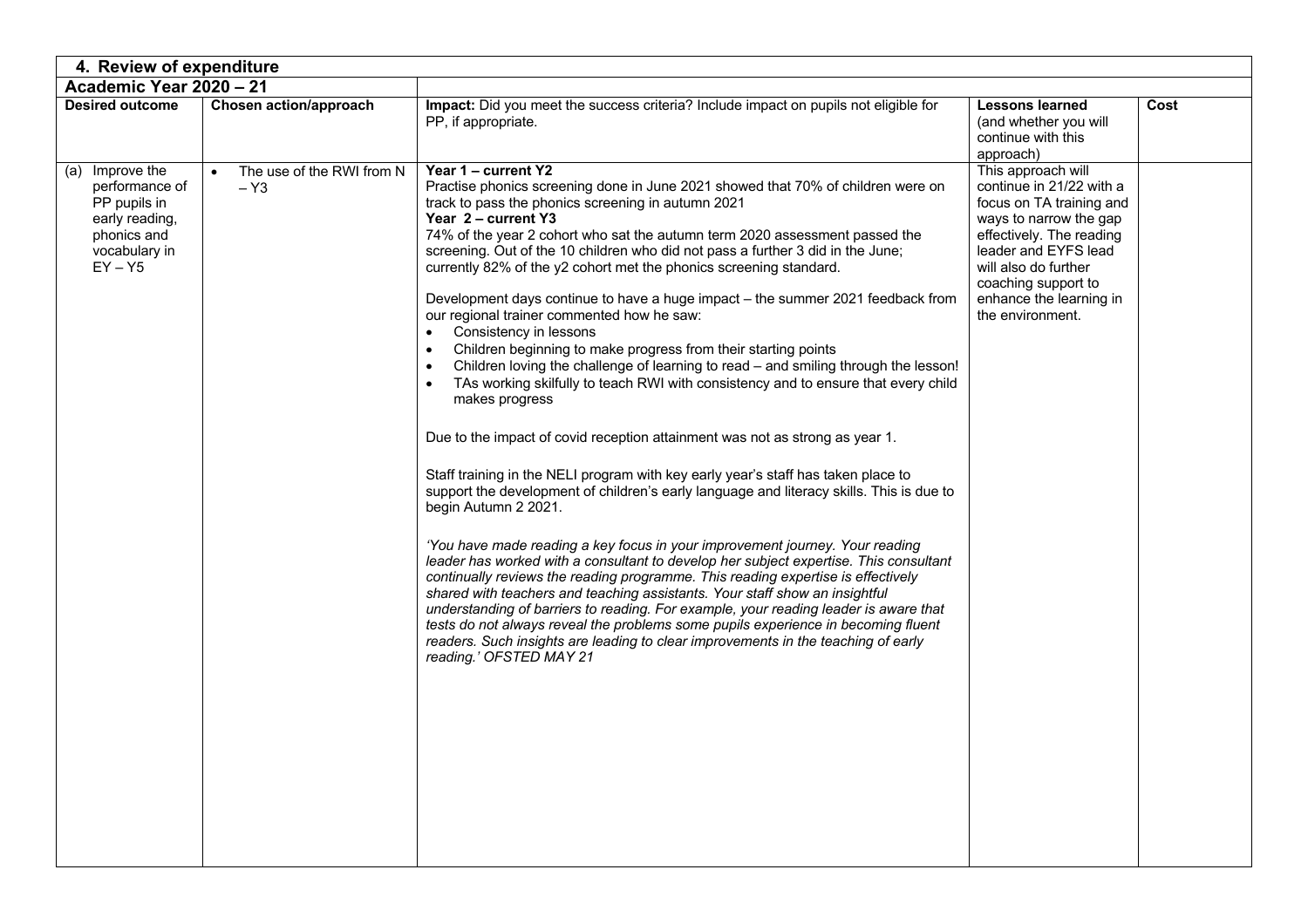| 4. Review of expenditure                                                                                         |                                                 |                                                                                                                                                                                                                                                                                                                                                                                                                                                                                                                                                                                                                                                                                                                                                                                                                                                                                                                                                                                                                                                                                                                                                                                                                                                                                                                                                                                                                                                                                                                                                                                                                                                                                                                                                                                                                      |                                                                                                                                                                                                                                                        |      |  |  |  |  |
|------------------------------------------------------------------------------------------------------------------|-------------------------------------------------|----------------------------------------------------------------------------------------------------------------------------------------------------------------------------------------------------------------------------------------------------------------------------------------------------------------------------------------------------------------------------------------------------------------------------------------------------------------------------------------------------------------------------------------------------------------------------------------------------------------------------------------------------------------------------------------------------------------------------------------------------------------------------------------------------------------------------------------------------------------------------------------------------------------------------------------------------------------------------------------------------------------------------------------------------------------------------------------------------------------------------------------------------------------------------------------------------------------------------------------------------------------------------------------------------------------------------------------------------------------------------------------------------------------------------------------------------------------------------------------------------------------------------------------------------------------------------------------------------------------------------------------------------------------------------------------------------------------------------------------------------------------------------------------------------------------------|--------------------------------------------------------------------------------------------------------------------------------------------------------------------------------------------------------------------------------------------------------|------|--|--|--|--|
| Academic Year 2020 - 21                                                                                          |                                                 |                                                                                                                                                                                                                                                                                                                                                                                                                                                                                                                                                                                                                                                                                                                                                                                                                                                                                                                                                                                                                                                                                                                                                                                                                                                                                                                                                                                                                                                                                                                                                                                                                                                                                                                                                                                                                      |                                                                                                                                                                                                                                                        |      |  |  |  |  |
| <b>Desired outcome</b>                                                                                           | Chosen action/approach                          | Impact: Did you meet the success criteria? Include impact on pupils not eligible for<br>PP, if appropriate.                                                                                                                                                                                                                                                                                                                                                                                                                                                                                                                                                                                                                                                                                                                                                                                                                                                                                                                                                                                                                                                                                                                                                                                                                                                                                                                                                                                                                                                                                                                                                                                                                                                                                                          | <b>Lessons learned</b><br>(and whether you will<br>continue with this<br>approach)                                                                                                                                                                     | Cost |  |  |  |  |
| (a) Improve the<br>performance of<br>PP pupils in<br>early reading,<br>phonics and<br>vocabulary in<br>$EY - Y5$ | The use of the RWI from N<br>$\bullet$<br>$-Y3$ | Year 1 - current Y2<br>Practise phonics screening done in June 2021 showed that 70% of children were on<br>track to pass the phonics screening in autumn 2021<br>Year 2 - current Y3<br>74% of the year 2 cohort who sat the autumn term 2020 assessment passed the<br>screening. Out of the 10 children who did not pass a further 3 did in the June;<br>currently 82% of the y2 cohort met the phonics screening standard.<br>Development days continue to have a huge impact - the summer 2021 feedback from<br>our regional trainer commented how he saw:<br>Consistency in lessons<br>$\bullet$<br>Children beginning to make progress from their starting points<br>Children loving the challenge of learning to read - and smiling through the lesson!<br>$\bullet$<br>TAs working skilfully to teach RWI with consistency and to ensure that every child<br>makes progress<br>Due to the impact of covid reception attainment was not as strong as year 1.<br>Staff training in the NELI program with key early year's staff has taken place to<br>support the development of children's early language and literacy skills. This is due to<br>begin Autumn 2 2021.<br>'You have made reading a key focus in your improvement journey. Your reading<br>leader has worked with a consultant to develop her subject expertise. This consultant<br>continually reviews the reading programme. This reading expertise is effectively<br>shared with teachers and teaching assistants. Your staff show an insightful<br>understanding of barriers to reading. For example, your reading leader is aware that<br>tests do not always reveal the problems some pupils experience in becoming fluent<br>readers. Such insights are leading to clear improvements in the teaching of early<br>reading.' OFSTED MAY 21 | This approach will<br>continue in 21/22 with a<br>focus on TA training and<br>ways to narrow the gap<br>effectively. The reading<br>leader and EYFS lead<br>will also do further<br>coaching support to<br>enhance the learning in<br>the environment. |      |  |  |  |  |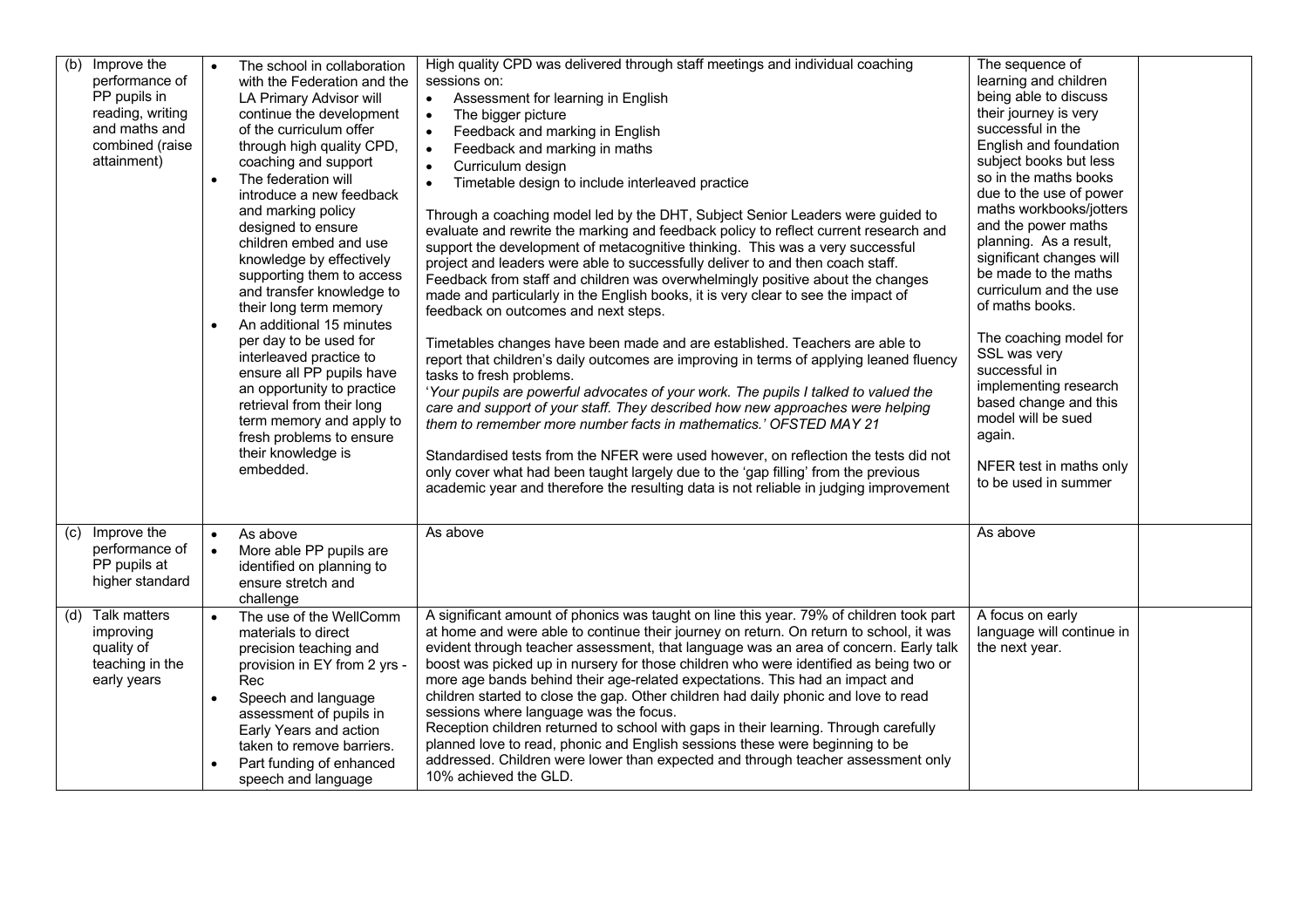| (b)<br>Improve the<br>performance of<br>PP pupils in<br>reading, writing<br>and maths and<br>combined (raise<br>attainment) |           | The school in collaboration<br>with the Federation and the<br>LA Primary Advisor will<br>continue the development<br>of the curriculum offer<br>through high quality CPD,<br>coaching and support<br>The federation will<br>introduce a new feedback<br>and marking policy<br>designed to ensure<br>children embed and use<br>knowledge by effectively<br>supporting them to access<br>and transfer knowledge to<br>their long term memory<br>An additional 15 minutes<br>per day to be used for<br>interleaved practice to<br>ensure all PP pupils have<br>an opportunity to practice<br>retrieval from their long<br>term memory and apply to | High quality CPD was delivered through staff meetings and individual coaching<br>sessions on:<br>Assessment for learning in English<br>$\bullet$<br>The bigger picture<br>$\bullet$<br>Feedback and marking in English<br>$\bullet$<br>$\bullet$<br>Feedback and marking in maths<br>Curriculum design<br>$\bullet$<br>Timetable design to include interleaved practice<br>$\bullet$<br>Through a coaching model led by the DHT, Subject Senior Leaders were guided to<br>evaluate and rewrite the marking and feedback policy to reflect current research and<br>support the development of metacognitive thinking. This was a very successful<br>project and leaders were able to successfully deliver to and then coach staff.<br>Feedback from staff and children was overwhelmingly positive about the changes<br>made and particularly in the English books, it is very clear to see the impact of<br>feedback on outcomes and next steps.<br>Timetables changes have been made and are established. Teachers are able to<br>report that children's daily outcomes are improving in terms of applying leaned fluency<br>tasks to fresh problems.<br>'Your pupils are powerful advocates of your work. The pupils I talked to valued the<br>care and support of your staff. They described how new approaches were helping<br>them to remember more number facts in mathematics.' OFSTED MAY 21 | The sequence of<br>learning and children<br>being able to discuss<br>their journey is very<br>successful in the<br>English and foundation<br>subject books but less<br>so in the maths books<br>due to the use of power<br>maths workbooks/jotters<br>and the power maths<br>planning. As a result,<br>significant changes will<br>be made to the maths<br>curriculum and the use<br>of maths books.<br>The coaching model for<br>SSL was very<br>successful in<br>implementing research<br>based change and this<br>model will be sued |  |
|-----------------------------------------------------------------------------------------------------------------------------|-----------|-------------------------------------------------------------------------------------------------------------------------------------------------------------------------------------------------------------------------------------------------------------------------------------------------------------------------------------------------------------------------------------------------------------------------------------------------------------------------------------------------------------------------------------------------------------------------------------------------------------------------------------------------|------------------------------------------------------------------------------------------------------------------------------------------------------------------------------------------------------------------------------------------------------------------------------------------------------------------------------------------------------------------------------------------------------------------------------------------------------------------------------------------------------------------------------------------------------------------------------------------------------------------------------------------------------------------------------------------------------------------------------------------------------------------------------------------------------------------------------------------------------------------------------------------------------------------------------------------------------------------------------------------------------------------------------------------------------------------------------------------------------------------------------------------------------------------------------------------------------------------------------------------------------------------------------------------------------------------------------------------------------------------------------------------------------|-----------------------------------------------------------------------------------------------------------------------------------------------------------------------------------------------------------------------------------------------------------------------------------------------------------------------------------------------------------------------------------------------------------------------------------------------------------------------------------------------------------------------------------------|--|
| (c) Improve the<br>performance of<br>PP pupils at                                                                           | $\bullet$ | fresh problems to ensure<br>their knowledge is<br>embedded.<br>As above<br>More able PP pupils are<br>identified on planning to                                                                                                                                                                                                                                                                                                                                                                                                                                                                                                                 | Standardised tests from the NFER were used however, on reflection the tests did not<br>only cover what had been taught largely due to the 'gap filling' from the previous<br>academic year and therefore the resulting data is not reliable in judging improvement<br>As above                                                                                                                                                                                                                                                                                                                                                                                                                                                                                                                                                                                                                                                                                                                                                                                                                                                                                                                                                                                                                                                                                                                       | again.<br>NFER test in maths only<br>to be used in summer<br>As above                                                                                                                                                                                                                                                                                                                                                                                                                                                                   |  |
| higher standard                                                                                                             |           | ensure stretch and<br>challenge                                                                                                                                                                                                                                                                                                                                                                                                                                                                                                                                                                                                                 |                                                                                                                                                                                                                                                                                                                                                                                                                                                                                                                                                                                                                                                                                                                                                                                                                                                                                                                                                                                                                                                                                                                                                                                                                                                                                                                                                                                                      |                                                                                                                                                                                                                                                                                                                                                                                                                                                                                                                                         |  |
| (d) Talk matters<br>improving<br>quality of<br>teaching in the<br>early years                                               |           | The use of the WellComm<br>materials to direct<br>precision teaching and<br>provision in EY from 2 yrs -<br>Rec<br>Speech and language<br>assessment of pupils in<br>Early Years and action<br>taken to remove barriers.<br>Part funding of enhanced<br>speech and language                                                                                                                                                                                                                                                                                                                                                                     | A significant amount of phonics was taught on line this year. 79% of children took part<br>at home and were able to continue their journey on return. On return to school, it was<br>evident through teacher assessment, that language was an area of concern. Early talk<br>boost was picked up in nursery for those children who were identified as being two or<br>more age bands behind their age-related expectations. This had an impact and<br>children started to close the gap. Other children had daily phonic and love to read<br>sessions where language was the focus.<br>Reception children returned to school with gaps in their learning. Through carefully<br>planned love to read, phonic and English sessions these were beginning to be<br>addressed. Children were lower than expected and through teacher assessment only<br>10% achieved the GLD.                                                                                                                                                                                                                                                                                                                                                                                                                                                                                                                             | A focus on early<br>language will continue in<br>the next year.                                                                                                                                                                                                                                                                                                                                                                                                                                                                         |  |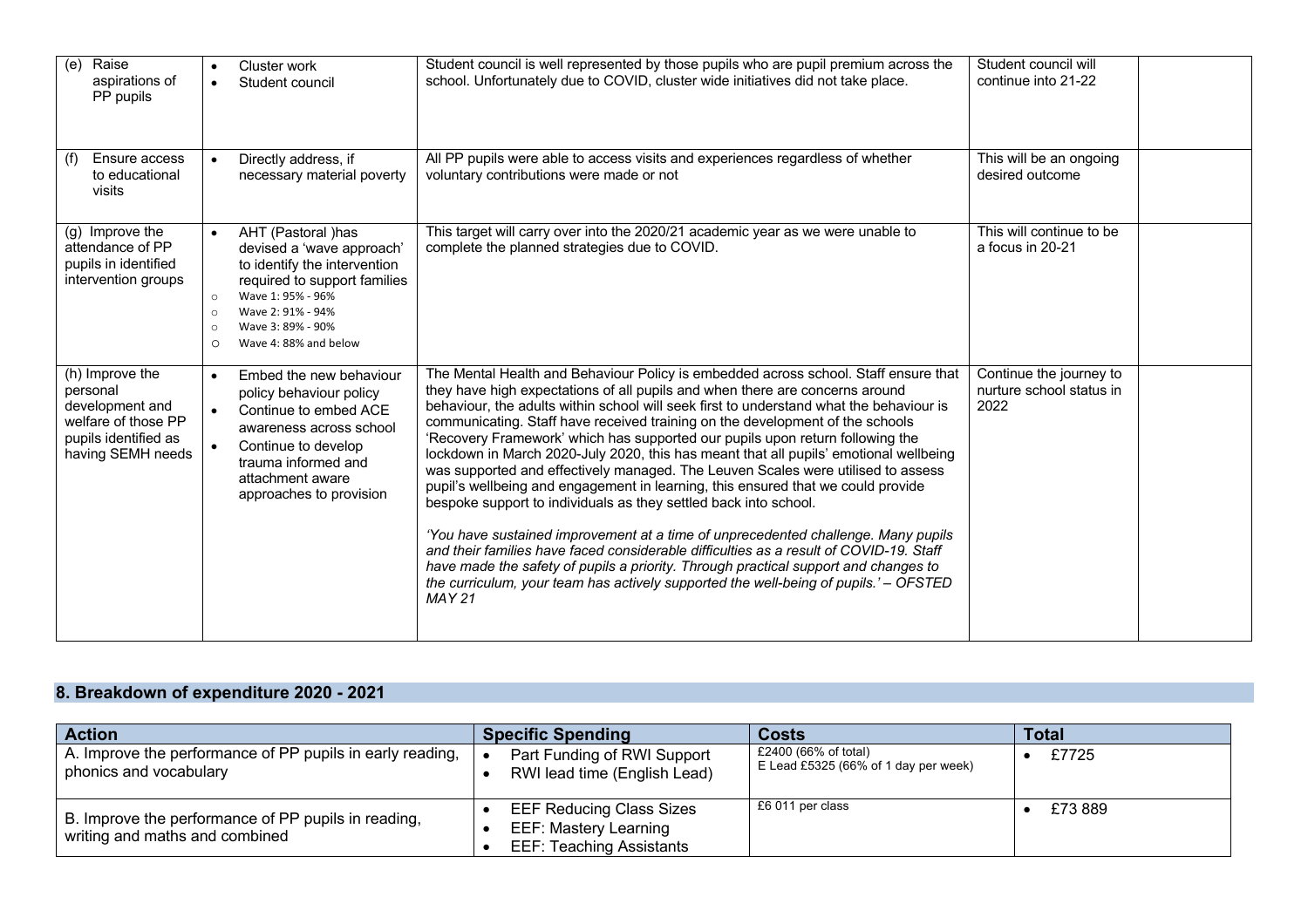| (e)<br>Raise<br>aspirations of<br>PP pupils                                                                        | $\bullet$                                             | Cluster work<br>Student council                                                                                                                                                                         | Student council is well represented by those pupils who are pupil premium across the<br>school. Unfortunately due to COVID, cluster wide initiatives did not take place.                                                                                                                                                                                                                                                                                                                                                                                                                                                                                                                                                                                                                                                                                                                                                                                                                                                                                                                                                                             | Student council will<br>continue into 21-22                 |  |
|--------------------------------------------------------------------------------------------------------------------|-------------------------------------------------------|---------------------------------------------------------------------------------------------------------------------------------------------------------------------------------------------------------|------------------------------------------------------------------------------------------------------------------------------------------------------------------------------------------------------------------------------------------------------------------------------------------------------------------------------------------------------------------------------------------------------------------------------------------------------------------------------------------------------------------------------------------------------------------------------------------------------------------------------------------------------------------------------------------------------------------------------------------------------------------------------------------------------------------------------------------------------------------------------------------------------------------------------------------------------------------------------------------------------------------------------------------------------------------------------------------------------------------------------------------------------|-------------------------------------------------------------|--|
| Ensure access<br>(f)<br>to educational<br>visits                                                                   | $\bullet$                                             | Directly address, if<br>necessary material poverty                                                                                                                                                      | All PP pupils were able to access visits and experiences regardless of whether<br>voluntary contributions were made or not                                                                                                                                                                                                                                                                                                                                                                                                                                                                                                                                                                                                                                                                                                                                                                                                                                                                                                                                                                                                                           | This will be an ongoing<br>desired outcome                  |  |
| (g) Improve the<br>attendance of PP<br>pupils in identified<br>intervention groups                                 | $\bullet$<br>$\circ$<br>$\circ$<br>$\circ$<br>$\circ$ | AHT (Pastoral )has<br>devised a 'wave approach'<br>to identify the intervention<br>required to support families<br>Wave 1: 95% - 96%<br>Wave 2: 91% - 94%<br>Wave 3: 89% - 90%<br>Wave 4: 88% and below | This target will carry over into the 2020/21 academic year as we were unable to<br>complete the planned strategies due to COVID.                                                                                                                                                                                                                                                                                                                                                                                                                                                                                                                                                                                                                                                                                                                                                                                                                                                                                                                                                                                                                     | This will continue to be<br>a focus in 20-21                |  |
| (h) Improve the<br>personal<br>development and<br>welfare of those PP<br>pupils identified as<br>having SEMH needs | $\bullet$<br>$\bullet$<br>$\bullet$                   | Embed the new behaviour<br>policy behaviour policy<br>Continue to embed ACE<br>awareness across school<br>Continue to develop<br>trauma informed and<br>attachment aware<br>approaches to provision     | The Mental Health and Behaviour Policy is embedded across school. Staff ensure that<br>they have high expectations of all pupils and when there are concerns around<br>behaviour, the adults within school will seek first to understand what the behaviour is<br>communicating. Staff have received training on the development of the schools<br>'Recovery Framework' which has supported our pupils upon return following the<br>lockdown in March 2020-July 2020, this has meant that all pupils' emotional wellbeing<br>was supported and effectively managed. The Leuven Scales were utilised to assess<br>pupil's wellbeing and engagement in learning, this ensured that we could provide<br>bespoke support to individuals as they settled back into school.<br>'You have sustained improvement at a time of unprecedented challenge. Many pupils<br>and their families have faced considerable difficulties as a result of COVID-19. Staff<br>have made the safety of pupils a priority. Through practical support and changes to<br>the curriculum, your team has actively supported the well-being of pupils.' - OFSTED<br><b>MAY 21</b> | Continue the journey to<br>nurture school status in<br>2022 |  |

## **8. Breakdown of expenditure 2020 - 2021**

| <b>Action</b>                                                                         | <b>Specific Spending</b>                                                                           | <b>Costs</b>                                                 | <b>Total</b> |
|---------------------------------------------------------------------------------------|----------------------------------------------------------------------------------------------------|--------------------------------------------------------------|--------------|
| A. Improve the performance of PP pupils in early reading,<br>phonics and vocabulary   | Part Funding of RWI Support<br>$\bullet$<br>RWI lead time (English Lead)                           | £2400 (66% of total)<br>E Lead £5325 (66% of 1 day per week) | £7725        |
| B. Improve the performance of PP pupils in reading,<br>writing and maths and combined | <b>EEF Reducing Class Sizes</b><br><b>EEF: Mastery Learning</b><br><b>EEF: Teaching Assistants</b> | £6 011 per class                                             | £73 889      |